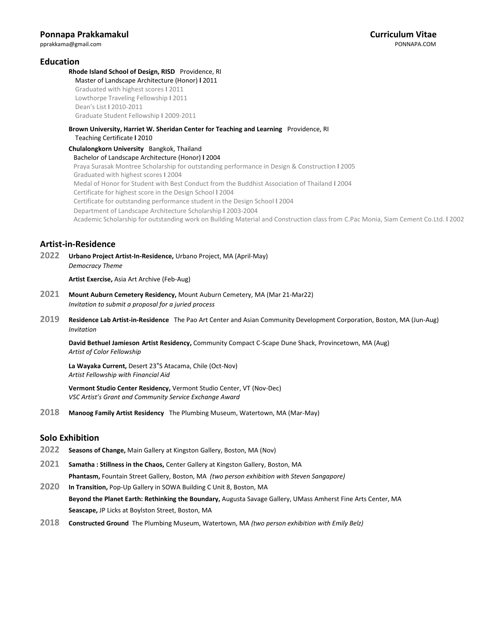## **Education**

#### **Rhode Island School of Design, RISD** Providence, RI Master of Landscape Architecture (Honor) **l** 2011

 Graduated with highest scores **I** 2011 Lowthorpe Traveling Fellowship **I** 2011 Dean's List **I** 2010-2011 Graduate Student Fellowship **I** 2009-2011

#### **Brown University, Harriet W. Sheridan Center for Teaching and Learning** Providence, RI Teaching Certificate **l** 2010

**Chulalongkorn University** Bangkok, Thailand Bachelor of Landscape Architecture (Honor) **l** 2004 Praya Surasak Montree Scholarship for outstanding performance in Design & Construction **l** 2005 Graduated with highest scores **I** 2004 Medal of Honor for Student with Best Conduct from the Buddhist Association of Thailand **l** 2004 Certificate for highest score in the Design School **l** 2004 Certificate for outstanding performance student in the Design School **l** 2004 Department of Landscape Architecture Scholarship **l** 2003-2004 Academic Scholarship for outstanding work on Building Material and Construction class from C.Pac Monia, Siam Cement Co.Ltd. **l** 2002

## **Artist-in-Residence**

**2022 Urbano Project Artist-In-Residence,** Urbano Project, MA (April-May) *Democracy Theme*

**Artist Exercise,** Asia Art Archive (Feb-Aug)

- **2021 Mount Auburn Cemetery Residency,** Mount Auburn Cemetery, MA (Mar 21-Mar22) *Invitation to submit a proposal for a juried process*
- **2019 Residence Lab Artist-in-Residence** The Pao Art Center and Asian Community Development Corporation, Boston, MA (Jun-Aug) *Invitation*

**David Bethuel Jamieson Artist Residency,** Community Compact C-Scape Dune Shack, Provincetown, MA (Aug) *Artist of Color Fellowship*

**La Wayaka Current,** Desert 23°S Atacama, Chile (Oct-Nov) *Artist Fellowship with Financial Aid*

**Vermont Studio Center Residency,** Vermont Studio Center, VT (Nov-Dec) *VSC Artist's Grant and Community Service Exchange Award*

**2018 Manoog Family Artist Residency** The Plumbing Museum, Watertown, MA (Mar-May)

## **Solo Exhibition**

- **2022 Seasons of Change,** Main Gallery at Kingston Gallery, Boston, MA (Nov)
- **2021 Samatha : Stillness in the Chaos,** Center Gallery at Kingston Gallery, Boston, MA **Phantasm,** Fountain Street Gallery, Boston, MA *(two person exhibition with Steven Sangapore)*

**2020 In Transition,** Pop-Up Gallery in SOWA Building C Unit 8, Boston, MA **Beyond the Planet Earth: Rethinking the Boundary,** Augusta Savage Gallery, UMass Amherst Fine Arts Center, MA **Seascape,** JP Licks at Boylston Street, Boston, MA

**2018 Constructed Ground** The Plumbing Museum, Watertown, MA *(two person exhibition with Emily Belz)*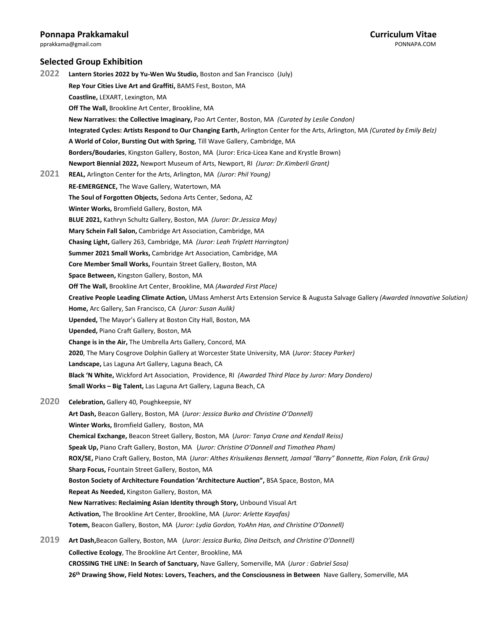pprakkama@gmail.com

## **Selected Group Exhibition**

**2022 Lantern Stories 2022 by Yu-Wen Wu Studio,** Boston and San Francisco (July) **Rep Your Cities Live Art and Graffiti,** BAMS Fest, Boston, MA **Coastline,** LEXART, Lexington, MA **Off The Wall,** Brookline Art Center, Brookline, MA **New Narratives: the Collective Imaginary,** Pao Art Center, Boston, MA *(Curated by Leslie Condon)* **Integrated Cycles: Artists Respond to Our Changing Earth,** Arlington Center for the Arts, Arlington, MA *(Curated by Emily Belz)* **A World of Color, Bursting Out with Spring**, Till Wave Gallery, Cambridge, MA **Borders/Boudaries**, Kingston Gallery, Boston, MA (Juror: Erica-Licea Kane and Krystle Brown) **Newport Biennial 2022,** Newport Museum of Arts, Newport, RI *(Juror: Dr.Kimberli Grant)* **2021 REAL,** Arlington Center for the Arts, Arlington, MA *(Juror: Phil Young)* **RE-EMERGENCE,** The Wave Gallery, Watertown, MA **The Soul of Forgotten Objects,** Sedona Arts Center, Sedona, AZ **Winter Works,** Bromfield Gallery, Boston, MA **BLUE 2021,** Kathryn Schultz Gallery, Boston, MA *(Juror: Dr.Jessica May)* **Mary Schein Fall Salon,** Cambridge Art Association, Cambridge, MA **Chasing Light,** Gallery 263, Cambridge, MA *(Juror: Leah Triplett Harrington)* **Summer 2021 Small Works,** Cambridge Art Association, Cambridge, MA **Core Member Small Works,** Fountain Street Gallery, Boston, MA **Space Between,** Kingston Gallery, Boston, MA **Off The Wall,** Brookline Art Center, Brookline, MA *(Awarded First Place)* **Creative People Leading Climate Action,** UMass Amherst Arts Extension Service & Augusta Salvage Gallery *(Awarded Innovative Solution)* **Home,** Arc Gallery, San Francisco, CA (*Juror: Susan Aulik)* **Upended,** The Mayor's Gallery at Boston City Hall, Boston, MA **Upended,** Piano Craft Gallery, Boston, MA **Change is in the Air,** The Umbrella Arts Gallery, Concord, MA **2020**, The Mary Cosgrove Dolphin Gallery at Worcester State University, MA (*Juror: Stacey Parker)* **Landscape,** Las Laguna Art Gallery, Laguna Beach, CA **Black 'N White,** Wickford Art Association, Providence, RI *(Awarded Third Place by Juror: Mary Dondero)* **Small Works – Big Talent,** Las Laguna Art Gallery, Laguna Beach, CA **2020 Celebration,** Gallery 40, Poughkeepsie, NY **Art Dash,** Beacon Gallery, Boston, MA (*Juror: Jessica Burko and Christine O'Donnell)* **Winter Works,** Bromfield Gallery, Boston, MA **Chemical Exchange,** Beacon Street Gallery, Boston, MA (*Juror: Tanya Crane and Kendall Reiss)* **Speak Up,** Piano Craft Gallery, Boston, MA (*Juror: Christine O'Donnell and Timothea Pham)* **ROX/SE,** Piano Craft Gallery, Boston, MA (*Juror: Althes Krisuikenas Bennett, Jamaal "Barry" Bonnette, Rion Folan, Erik Grau)* **Sharp Focus,** Fountain Street Gallery, Boston, MA **Boston Society of Architecture Foundation 'Architecture Auction",** BSA Space, Boston, MA **Repeat As Needed,** Kingston Gallery, Boston, MA **New Narratives: Reclaiming Asian Identity through Story,** Unbound Visual Art **Activation,** The Brookline Art Center, Brookline, MA (*Juror: Arlette Kayafas)* **Totem,** Beacon Gallery, Boston, MA (*Juror: Lydia Gordon, YoAhn Han, and Christine O'Donnell)* **2019 Art Dash,**Beacon Gallery, Boston, MA (*Juror: Jessica Burko, Dina Deitsch, and Christine O'Donnell)* **Collective Ecology**, The Brookline Art Center, Brookline, MA **CROSSING THE LINE: In Search of Sanctuary,** Nave Gallery, Somerville, MA (*Juror : Gabriel Sosa)* **26th Drawing Show, Field Notes: Lovers, Teachers, and the Consciousness in Between** Nave Gallery, Somerville, MA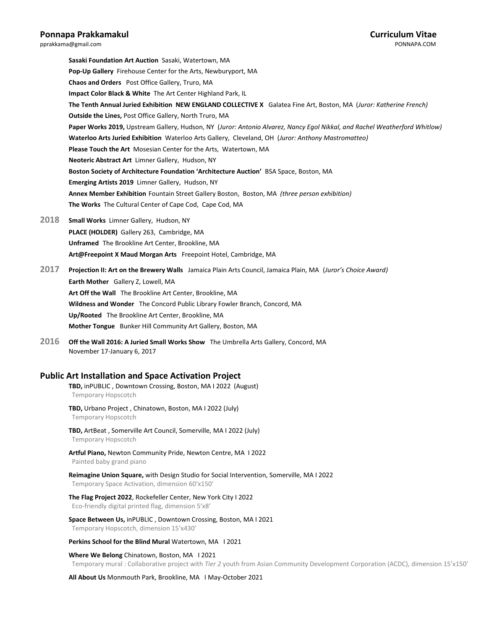**Sasaki Foundation Art Auction** Sasaki, Watertown, MA **Pop-Up Gallery** Firehouse Center for the Arts, Newburyport, MA **Chaos and Orders** Post Office Gallery, Truro, MA **Impact Color Black & White** The Art Center Highland Park, IL **The Tenth Annual Juried Exhibition NEW ENGLAND COLLECTIVE X** Galatea Fine Art, Boston, MA (*Juror: Katherine French)* **Outside the Lines,** Post Office Gallery, North Truro, MA **Paper Works 2019,** Upstream Gallery, Hudson, NY (*Juror: Antonio Alvarez, Nancy Egol Nikkal, and Rachel Weatherford Whitlow)* **Waterloo Arts Juried Exhibition** Waterloo Arts Gallery, Cleveland, OH (*Juror: Anthony Mastromatteo)* **Please Touch the Art** Mosesian Center for the Arts, Watertown, MA **Neoteric Abstract Art** Limner Gallery, Hudson, NY **Boston Society of Architecture Foundation 'Architecture Auction'** BSA Space, Boston, MA **Emerging Artists 2019** Limner Gallery, Hudson, NY **Annex Member Exhibition** Fountain Street Gallery Boston, Boston, MA *(three person exhibition)* **The Works** The Cultural Center of Cape Cod, Cape Cod, MA

**2018 Small Works** Limner Gallery, Hudson, NY **PLACE (HOLDER)** Gallery 263, Cambridge, MA **Unframed** The Brookline Art Center, Brookline, MA **Art@Freepoint X Maud Morgan Arts** Freepoint Hotel, Cambridge, MA

**2017 Projection II: Art on the Brewery Walls** Jamaica Plain Arts Council, Jamaica Plain, MA (*Juror's Choice Award)* **Earth Mother** Gallery Z, Lowell, MA **Art Off the Wall** The Brookline Art Center, Brookline, MA **Wildness and Wonder** The Concord Public Library Fowler Branch, Concord, MA **Up/Rooted** The Brookline Art Center, Brookline, MA **Mother Tongue** Bunker Hill Community Art Gallery, Boston, MA

**2016 Off the Wall 2016: A Juried Small Works Show** The Umbrella Arts Gallery, Concord, MA November 17-January 6, 2017

## **Public Art Installation and Space Activation Project**

**TBD,** inPUBLIC , Downtown Crossing, Boston, MA I 2022 (August) Temporary Hopscotch

- **TBD,** Urbano Project , Chinatown, Boston, MA I 2022 (July) Temporary Hopscotch
- **TBD,** ArtBeat , Somerville Art Council, Somerville, MA I 2022 (July) Temporary Hopscotch

**Artful Piano,** Newton Community Pride, Newton Centre, MA I 2022 Painted baby grand piano

**Reimagine Union Square,** with Design Studio for Social Intervention, Somerville, MA I 2022 Temporary Space Activation, dimension 60'x150'

**The Flag Project 2022**, Rockefeller Center, New York City I 2022 Eco-friendly digital printed flag, dimension 5'x8'

**Space Between Us,** inPUBLIC , Downtown Crossing, Boston, MA I 2021 Temporary Hopscotch, dimension 15'x430'

Perkins School for the Blind Mural Watertown, MA 12021

**Where We Belong** Chinatown, Boston, MA I 2021 Temporary mural : Collaborative project with *Tier 2* youth from Asian Community Development Corporation (ACDC), dimension 15'x150'

**All About Us** Monmouth Park, Brookline, MA I May-October 2021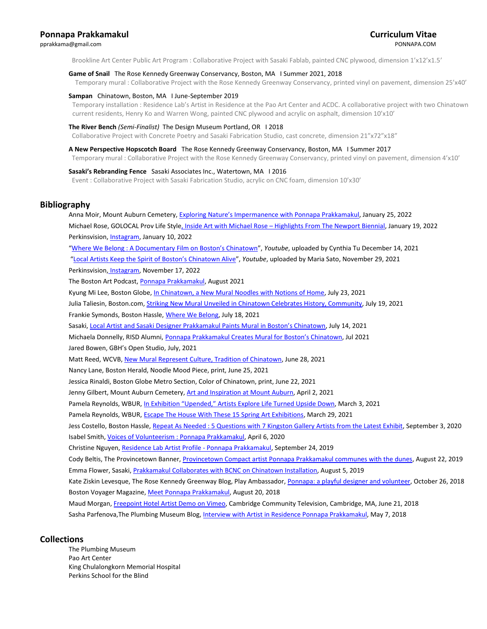## **Ponnapa Prakkamakul Curriculum Vitae** [pprakkama@gmail.com](mailto:pprakkamakul@gmail.com) PONNAPA.COM

Brookline Art Center Public Art Program : Collaborative Project with Sasaki Fablab, painted CNC plywood, dimension 1'x12'x1.5'

### **Game of Snail** The Rose Kennedy Greenway Conservancy, Boston, MA I Summer 2021, 2018

Temporary mural : Collaborative Project with the Rose Kennedy Greenway Conservancy, printed vinyl on pavement, dimension 25'x40'

#### **Sampan** Chinatown, Boston, MA I June-September 2019

Temporary installation : Residence Lab's Artist in Residence at the Pao Art Center and ACDC. A collaborative project with two Chinatown current residents, Henry Ko and Warren Wong, painted CNC plywood and acrylic on asphalt, dimension 10'x10'

#### **The River Bench** *(Semi-Finalist)* The Design Museum Portland, OR I 2018

Collaborative Project with Concrete Poetry and Sasaki Fabrication Studio, cast concrete, dimension 21"x72"x18"

#### **A New Perspective Hopscotch Board** The Rose Kennedy Greenway Conservancy, Boston, MA I Summer 2017

Temporary mural : Collaborative Project with the Rose Kennedy Greenway Conservancy, printed vinyl on pavement, dimension 4'x10'

#### **Sasaki's Rebranding Fence** Sasaki Associates Inc., Watertown, MA I 2016

Event : Collaborative Project with Sasaki Fabrication Studio, acrylic on CNC foam, dimension 10'x30'

## **Bibliography**

Anna Moir, Mount Auburn Cemetery, [Exploring Nature's Impermanence with Ponnapa Prakkam](https://mountauburn.org/interview-with-ponnapa-prakkamakul/?fbclid=IwAR1txuODhYOAfwY1vEb24Y2VyVEX9D8kVljoOIv-NVFFYdLqv8tw93nqqVY)akul, January 25, 2022 Michael Rose, GOLOCAL Prov Life Style, Inside Art with Michael Rose – [Highlights From The Newport Biennial,](https://www.golocalprov.com/lifestyle/inside-art-with-michael-rose-highlights-from-the-newport-biennial?fbclid=IwAR2mMk5lLVTxGc5ilRnoEOEKHcB--NeG7wA9skA5Hx_lSjEJ2nF5QJtB5vg) January 19, 2022 Perkinsvision[, Instagram,](https://www.instagram.com/p/CYi-x-sPRiS/) January 10, 2022 ["Where We Belong : A Documentary Film on Boston's Chinatown"](https://www.youtube.com/watch?v=AN2TVGopqWc), *Youtube*, uploaded by Cynthia Tu December 14, 2021 ["Local Artists Keep the Spirit of Boston's Chinatown Alive"](https://www.youtube.com/watch?v=Vom97AyWm_4), *Youtube*, uploaded by Maria Sato, November 29, 2021 Perkinsvision, [Instagram,](https://www.instagram.com/p/CWYQ0WpFYJx/) November 17, 2022 The Boston Art Podcast[, Ponnapa Prakkamakul,](https://open.spotify.com/episode/4D49EHIIu0bIZaROTPnooX?fbclid=IwAR0Byj80TP0OL5Puo-rQCvP8No2Vl2aJPx5mzJ3caOGAOtzJixS5HrUPS4g) August 2021 Kyung Mi Lee, Boston Globe[, In Chinatown, a New Mural Noodles with Notions of Home,](https://www.bostonglobe.com/2021/07/23/arts/chinatown-new-mural-noodles-with-notions-home/) July 23, 2021 Julia Taliesin, Boston.com[, Striking New Mural Unveiled in Chinatown Celebrates History, Community,](https://www.boston.com/news/local-news/2021/07/19/new-mural-chinatown-where-we-belong/) July 19, 2021 Frankie Symonds, Boston Hassle[, Where We Belong,](https://bostonhassle.com/where-we-belong/) July 18, 2021 Sasaki, [Local Artist and Sasaki Designer Prakkamakul Paints Mural in Boston's Chinatown](https://www.sasaki.com/voices/local-artist-and-sasaki-designer-prakkamakul-paints-mural-in-bostons-chinatown/), July 14, 2021 Michaela Donnelly, RISD Alumni, [Ponnapa Prakkamakul Creates Mural for Boston's Chinatown](https://alumni.risd.edu/news-events/ponnapa-prakkamakul-mural), Jul 2021 Jared Bowen, GBH's Open Studio, July, 2021 Matt Reed, WCVB[, New Mural Represent Culture, Tradition of Chinatown,](https://www.youtube.com/watch?v=rR1FXvpnjQo) June 28, 2021 Nancy Lane, Boston Herald, Noodle Mood Piece, print, June 25, 2021 Jessica Rinaldi, Boston Globe Metro Section, Color of Chinatown, print, June 22, 2021 Jenny Gilbert, Mount Auburn Cemetery, [Art and Inspiration at Mount Auburn,](Pamela%20Reynolds,%20WBUR,%20In%20Exhibition%20) April 2, 2021 Pamela Reynolds, WBUR, In Exhibition "Upended," [Artists Explore Life Turned Upside Down,](https://www.wbur.org/artery/2021/03/03/fountain-street-gallery-upended) March 3, 2021 Pamela Reynolds, WBUR, Escape The House [With These 15 Spring Art Exhibitions,](https://www.wbur.org/artery/2021/03/29/spring-art-exhibitions-massachusetts?fbclid=IwAR0aR76I_JchioZ6oBNEy1VmGvYP4eDQ_wzQcM6PUlwRHTGexqPMT00AE1s) March 29, 2021 Jess Costello, Boston Hassle, [Repeat As Needed : 5 Questions with 7 Kingston Gallery Artists](https://bostonhassle.com/repeat-as-needed-5-questions-with-7-kingston-gallery-artists-from-the-latest-exhibit/?fbclid=IwAR13GDO8clvRHHcLSoewmU7ppnJi9iynjplcQh7BNqE4nEtxK2J2NbhXMYA) from the Latest Exhibit, September 3, 2020 Isabel Smith[, Voices of Volunteerism : Ponnapa Prakkamakul,](https://www.rosekennedygreenway.org/voices-of-volunteerism-ponnapa-prakkamakul/) April 6, 2020 Christine Nguyen[, Residence Lab Artist Profile -](https://asiancdc.org/blog) Ponnapa Prakkamakul, September 24, 2019 Cody Beltis, The Provincetown Banner, [Provincetown Compact artist Ponnapa Prakkamakul communes with the dunes,](https://wellfleet.wickedlocal.com/entertainment/20190823/provincetown-compact-artist-ponnapa-prakkamakul-communes-with-dunes) August 22, 2019 Emma Flower, Sasaki[, Prakkamakul Collaborates with BCNC on Chinatown Installation,](https://www.sasaki.com/voices/prakkamakul-collaborates-with-bcnc-on-chinatown-installation/) August 5, 2019 Kate Ziskin Levesque, The Rose Kennedy Greenway Blog, Play Ambassador, [Ponnapa: a playful designer and volunteer,](https://www.rosekennedygreenway.org/play-ambassador-ponnapa-a-playful-designer-and-volunteer/) October 26, 2018 Boston Voyager Magazine, [Meet Ponnapa Prakkamakul,](http://bostonvoyager.com/interview/meet-ponnapa-prakkamakul/) August 20, 2018 Maud Morgan, [Freepoint Hotel Artist Demo on Vimeo,](https://vimeo.com/276299671) Cambridge Community Television, Cambridge, MA, June 21, 2018 Sasha Parfenova, The Plumbing Museum Blog[, Interview with Artist in Residence Ponnapa Prakkamakul,](http://www.theplumbingmuseum.org/meet-artist-in-residence-ponnapa-prakkamakul/) May 7, 2018

## **Collections**

The Plumbing Museum Pao Art Center King Chulalongkorn Memorial Hospital Perkins School for the Blind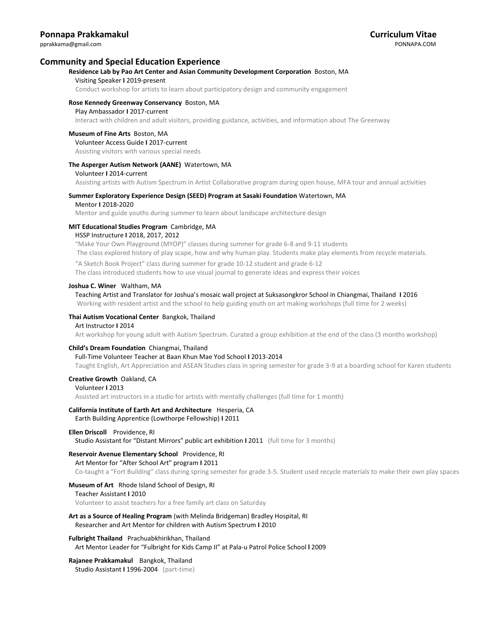## **Community and Special Education Experience**

### **Residence Lab by Pao Art Center and Asian Community Development Corporation** Boston, MA

#### Visiting Speaker **I** 2019-present

Conduct workshop for artists to learn about participatory design and community engagement

#### **Rose Kennedy Greenway Conservancy** Boston, MA

#### Play Ambassador **I** 2017-current

Interact with children and adult visitors, providing guidance, activities, and information about The Greenway

#### **Museum of Fine Arts** Boston, MA

Volunteer Access Guide **I** 2017-current

Assisting visitors with various special needs

#### **The Asperger Autism Network (AANE)** Watertown, MA

#### Volunteer **I** 2014-current

Assisting artists with Autism Spectrum in Artist Collaborative program during open house, MFA tour and annual activities

### **Summer Exploratory Experience Design (SEED) Program at Sasaki Foundation** Watertown, MA

#### Mentor **I** 2018-2020

Mentor and guide youths during summer to learn about landscape architecture design

#### **MIT Educational Studies Program** Cambridge, MA

#### HSSP Instructure **I** 2018, 2017, 2012

 "Make Your Own Playground (MYOP)" classes during summer for grade 6-8 and 9-11 students The class explored history of play scape, how and why human play. Students make play elements from recycle materials.

"A Sketch Book Project" class during summer for grade 10-12 student and grade 6-12

The class introduced students how to use visual journal to generate ideas and express their voices

#### **Joshua C. Winer** Waltham, MA

 Teaching Artist and Translator for Joshua's mosaic wall project at Suksasongkror School in Chiangmai, Thailand **I** 2016 Working with resident artist and the school to help guiding youth on art making workshops (full time for 2 weeks)

#### **Thai Autism Vocational Center** Bangkok, Thailand

#### Art Instructor **I** 2014

Art workshop for young adult with Autism Spectrum. Curated a group exhibition at the end of the class (3 months workshop)

#### **Child's Dream Foundation** Chiangmai, Thailand

### Full-Time Volunteer Teacher at Baan Khun Mae Yod School **I** 2013-2014

Taught English, Art Appreciation and ASEAN Studies class in spring semester for grade 3-9 at a boarding school for Karen students

#### **Creative Growth** Oakland, CA

#### Volunteer **I** 2013

Assisted art instructors in a studio for artists with mentally challenges (full time for 1 month)

#### **California Institute of Earth Art and Architecture** Hesperia, CA

Earth Building Apprentice (Lowthorpe Fellowship) **I** 2011

#### **Ellen Driscoll** Providence, RI

Studio Assistant for "Distant Mirrors" public art exhibition **I** 2011 (full time for 3 months)

#### **Reservoir Avenue Elementary School** Providence, RI

Art Mentor for "After School Art" program **I** 2011

Co-taught a "Fort Building" class during spring semester for grade 3-5. Student used recycle materials to make their own play spaces

#### **Museum of Art** Rhode Island School of Design, RI

#### Teacher Assistant **I** 2010

Volunteer to assist teachers for a free family art class on Saturday

#### **Art as a Source of Healing Program** (with Melinda Bridgeman) Bradley Hospital, RI Researcher and Art Mentor for children with Autism Spectrum **I** 2010

#### **Fulbright Thailand** Prachuabkhirikhan, Thailand Art Mentor Leader for "Fulbright for Kids Camp II" at Pala-u Patrol Police School **l** 2009

# **Rajanee Prakkamakul** Bangkok, Thailand

Studio Assistant **I** 1996-2004 (part-time)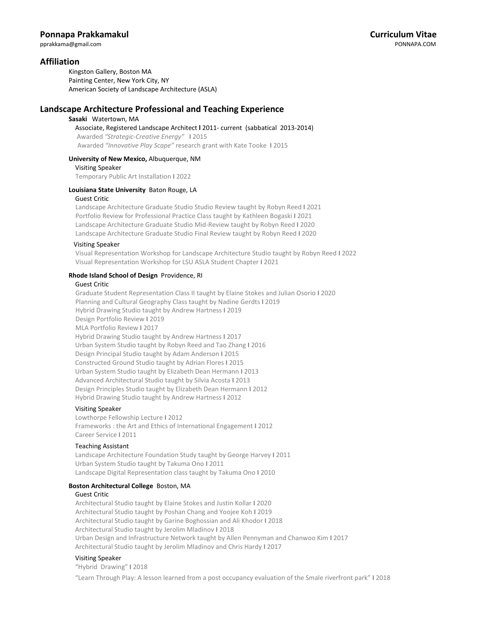## **Affiliation**

Kingston Gallery, Boston MA Painting Center, New York City, NY American Society of Landscape Architecture (ASLA)

## **Landscape Architecture Professional and Teaching Experience**

#### **Sasaki** Watertown, MA

 Associate, Registered Landscape Architect **l** 2011- current (sabbatical 2013-2014) Awarded *"Strategic-Creative Energy"* **I** 2015 Awarded *"Innovative Play Scape"* research grant with Kate Tooke **I** 2015

### **University of New Mexico,** Albuquerque, NM

Visiting Speaker

Temporary Public Art Installation **I** 2022

### **Louisiana State University** Baton Rouge, LA

#### Guest Critic

Landscape Architecture Graduate Studio Studio Review taught by Robyn Reed **I** 2021 Portfolio Review for Professional Practice Class taught by Kathleen Bogaski **I** 2021 Landscape Architecture Graduate Studio Mid-Review taught by Robyn Reed **I** 2020 Landscape Architecture Graduate Studio Final Review taught by Robyn Reed **I** 2020

### Visiting Speaker

Visual Representation Workshop for Landscape Architecture Studio taught by Robyn Reed **I** 2022 Visual Representation Workshop for LSU ASLA Student Chapter **I** 2021

## **Rhode Island School of Design** Providence, RI

#### Guest Critic

Graduate Student Representation Class II taught by Elaine Stokes and Julian Osorio **I** 2020 Planning and Cultural Geography Class taught by Nadine Gerdts **I** 2019 Hybrid Drawing Studio taught by Andrew Hartness **I** 2019 Design Portfolio Review **I** 2019 MLA Portfolio Review **I** 2017 Hybrid Drawing Studio taught by Andrew Hartness **I** 2017 Urban System Studio taught by Robyn Reed and Tao Zhang **I** 2016 Design Principal Studio taught by Adam Anderson **I** 2015 Constructed Ground Studio taught by Adrian Flores **I** 2015 Urban System Studio taught by Elizabeth Dean Hermann **I** 2013 Advanced Architectural Studio taught by Silvia Acosta **I** 2013 Design Principles Studio taught by Elizabeth Dean Hermann **I** 2012 Hybrid Drawing Studio taught by Andrew Hartness **I** 2012

#### Visiting Speaker

 Lowthorpe Fellowship Lecture **I** 2012 Frameworks : the Art and Ethics of International Engagement **I** 2012 Career Service **I** 2011

#### Teaching Assistant

 Landscape Architecture Foundation Study taught by George Harvey **I** 2011 Urban System Studio taught by Takuma Ono **I** 2011 Landscape Digital Representation class taught by Takuma Ono **I** 2010

#### **Boston Architectural College** Boston, MA

#### Guest Critic

Architectural Studio taught by Elaine Stokes and Justin Kollar **I** 2020 Architectural Studio taught by Poshan Chang and Yoojee Koh **I** 2019 Architectural Studio taught by Garine Boghossian and Ali Khodor **I** 2018 Architectural Studio taught by Jerolim Mladinov **I** 2018 Urban Design and Infrastructure Network taught by Allen Pennyman and Chanwoo Kim **I** 2017 Architectural Studio taught by Jerolim Mladinov and Chris Hardy **I** 2017

### Visiting Speaker

"Hybrid Drawing" **I** 2018

"Learn Through Play: A lesson learned from a post occupancy evaluation of the Smale riverfront park" **I** 2018